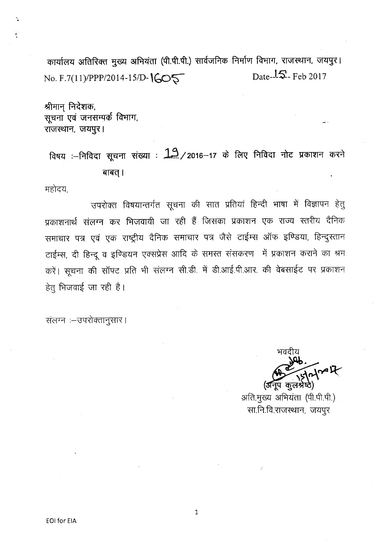कार्यालय अतिरिक्त मुख्य अभियंता (पी.पी.पी.) सार्वजनिक निर्माण विभाग, राजस्थान, जयपुर। No. F.7(11)/PPP/2014-15/D-1605 Date-15-Feb 2017

श्रीमान निदेशक, सूचना एवं जनसम्पर्क विभाग, राजस्थान, जयपुर।

विषय :--निविदा सूचना संख्या :  $12/2016$ -17 के लिए निविदा नोट प्रकाशन करने बाबत् ।

महोदय,

उपरोक्त विषयान्तर्गत सूचना की सात प्रतियां हिन्दी भाषा में विज्ञापन हेतु प्रकाशनार्थ संलग्न कर भिजवायी जा रही हैं जिसका प्रकाशन एक राज्य स्तरीय दैनिक समाचार पत्र एवं एक राष्ट्रीय दैनिक समाचार पत्र जैसे टाईम्स ऑफ इण्डिया, हिन्दुस्तान टाईम्स, दी हिन्दू व इण्डियन एक्सप्रेस आदि के समस्त संसकरण में प्रकाशन कराने का श्रम करें। सूचना की सॉफ्ट प्रति भी संलग्न सी.डी. में डी.आई.पी.आर. की वेबसाईट पर प्रकाशन हेतु भिजवाई जा रही है।

संलग्न :- उपरोक्तानुसार।

~ ,  $\frac{1}{2}$ 

(अनूप कुल<sup>,</sup> अति.मुख्य अभियंता (पी.पी.पी.) सा.नि.वि.राजस्थान, जयपुर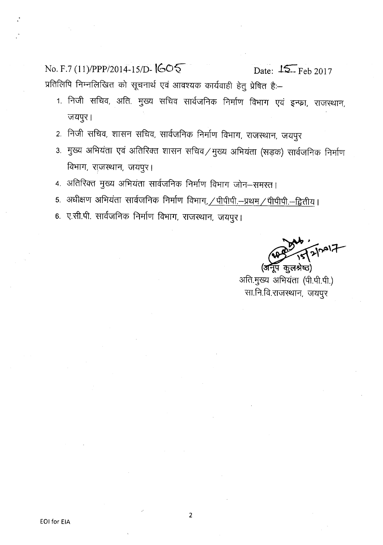No. F.7 (l1)/PPP/2014-1S/D- **tGo-S-** Date: **IS=-** Feb 2017 प्रतिलिपि निम्नलिखित को सूचनार्थ एवं आवश्यक कार्यवाही हेतु प्रेषित हैः–

- 1. निजी सचिव, अति. मुख्य सचिव सार्वजनिक निर्माण विभाग एवं इन्फ्रा, राजस्थान, जयपुर।
- 2. निजी सचिव, शासन सचिव, सार्वजनिक निर्माण विभाग, राजस्थान, जयपुर
- 3. मुख्य अभियंता एवं अतिरिक्त शासन सचिव $\angle$ मुख्य अभियंता (सड़क) सार्वजनिक निर्माण विभाग, राजस्थान, जयपुर।
- 4. अतिरिक्त मुख्य अभियंता सार्वजनिक निर्माण विभाग जोन-समस्त।
- 5. अधीक्षण अभियंता सार्वजनिक निर्माण विभाग<u>, / पीपीपी.--प्रथम / पीपीपी.--द्वितीय</u>।
- 6. ए.सी.पी. सार्वजनिक निर्माण विभाग, राजस्थान, जयपुर।

, *~,~,;:r* , <u>ग</u>्पि कुलश्रेष्ठ)

अति.मुख्य अभियंता (पी.पी.पी.) सा.नि.वि.राजस्थान, जयपुर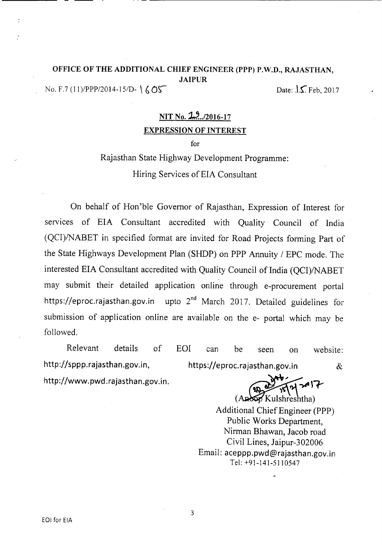## OFFICE OF THE ADDITIONAL CHIEF ENGINEER (PPP) P.W.D., RAJASTHAN, JAIPUR No. F.7 (11)/PPP/2014-15/D-  $\{ \text{OS}$  Date:  $\{ \text{S} \cdot \text{P} \cdot \text{S} \cdot \text{S} \cdot \text{S} \cdot \text{S} \cdot \text{S} \cdot \text{S} \cdot \text{S} \cdot \text{S} \cdot \text{S} \cdot \text{S} \cdot \text{S} \cdot \text{S} \cdot \text{S} \cdot \text{S} \cdot \text{S} \cdot \text{S} \cdot \text{S} \cdot \text{S} \cdot \text{S} \cdot \text{S} \cdot \text{S} \cdot \text{S} \cdot \text{S} \$

# NIT No. 2. ... /2016-17 EXPRESSION OF INTEREST

for

# Rajasthan State Highway Development Programme: Hiring Services of EIA Consultant

On behalf of Hon'ble Governor of Rajasthan, Expression of Interest for services of EIA Consultant accredited with Quality Council of India (QCI)/NABET in specified format are invited for Road Projects forming Part of the State Highways Development Plan (SHOP) on PPP Annuity / EPC mode. The interested EIA Consultant accredited with Quality Council of India (OCI)/NABET may submit their detailed application online through e-procurement portal https://eproc.rajasthan.gov.in upto  $2<sup>nd</sup>$  March 2017. Detailed guidelines for submission of application online are available on the e- portal which may be followed.

Relevant details of EOI can be seen on website http://sppp.rajasthan.gov.in, http://www.pwd.rajasthan.gov.in. https://eproc.rajasthan.gov.in &

 $24721$ 

( }(ul;hreshtha) Additional Chief Engineer (PPP) Public Works Department, Nirman Bhawan, Jacob road Civil Lines, Jaipur-302006 Email: aceppp.pwd@rajasthan.gov.in Tel: +91-141-5110547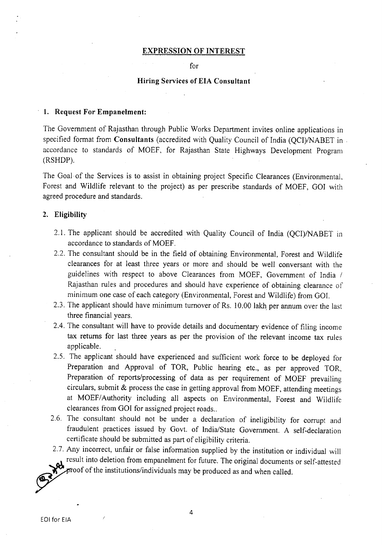#### **EXPRESSION OF INTEREST**

for

#### **Hiring Services of EIA Consultant**

#### **1. Request For Empanelment:**

The Government of Rajasthan through Public Works Department invites online applications in specified format from **Consultants** (accredited with Quality Council of India (QCI)/NABET in . accordance to standards of MOEF, for Rajasthan State Highways Development Program (RSHDP).

The Goal of the Services is to assist in obtaining project Specific Clearances (Environmental, Forest and Wildlife relevant to the project) as per prescribe standards of MOEF, GOI with agreed procedure and standards.

#### **2. Eligibility**

- 2.1. The applicant should be accredited with Quality Council of India (QCI)/NABET in accordance to standards of MOEF.
- 2.2. The consultant should be in the field of obtaining Environmental, Forest and Wildlife clearances for at least three years or more and should be well conversant with the guidelines with respect to above Clearances from MOEF, Government of India / Rajasthan rules and procedures and should have experience of obtaining clearance of minimum one case of each category (Environmental, Forest and Wildlife) from GOl.
- 2.3. The applicant should have minimum turnover of Rs. 10.00 lakh per annum over the last three financial years.
- 2.4. The consultant will have to provide details and documentary evidence of filing income tax returns for last three years as per the provision of the relevant income tax rules applicable.
- *2.5.* The applicant should have experienced and sufficient work force to be deployed for Preparation and Approval of TOR, Public hearing etc., as per approved TOR, Preparation of reports/processing of data as per requirement of MOEF prevailing circulars, submit & process the case in getting approval from MOEF, attending meetings at MOEF/Authority including all aspects on Environmental, Forest and Wildlife clearances from GOI for assigned project roads..
- 2.6. The consultant should not be under a declaration of ineligibility for corrupt and fraudulent practices issued by Govt. of India/State Government. A self-declaration certificate should be submitted as part of eligibility criteria.
- 2.7. Any incorrect, unfair or false information supplied by the institution or individual will result into deletion from empanelment for future. The original documents or self-attested proof of the institutions/individuals may be produced as and when called.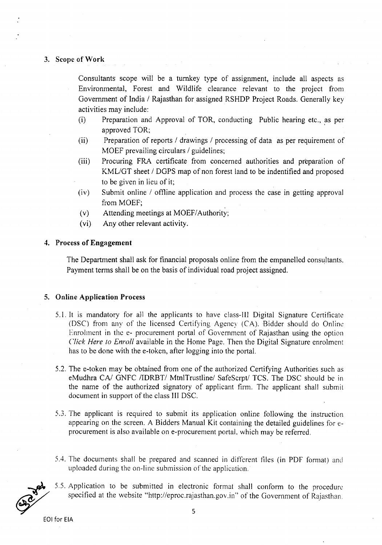## 3. Scope of Work

Consultants scope will be a turnkey type of assignment, include all aspects as Environmental, Forest and Wildlife clearance relevant to the project from Government of India *I* Rajasthan for assigned RSHDP Project Roads. Generally key activities may include:

- (i) Preparation and Approval of TOR, conducting Public hearing etc., as per approved TOR;
- (ii) Preparation of reports *I* drawings *I* processing of data as per requirement of MOEF prevailing circulars *I* guidelines;
- (iii) Procuring FRA certificate from concerned authorities and preparation of KMLlGT sheet *I* DGPS map of non forest land to be indentified and proposed to be given in lieu of it;
- (iv) Submit online / offline application and process the case in getting approval from MOEF;
- (v) Attending meetings at *MOEF/Authority;*
- (vi) Any other relevant activity.

### 4. Process of Engagement

The Department shall ask for financial proposals online from the empanelled consultants. Payment terms shall be on the basis of individual road project assigned.

#### 5. Online Application Process

- 5.1. It is mandatory for all the applicants to have class-Ill Digital Signature Certificate (OSC) from any of the licensed Certifying Agency (CA). Bidder should do Online Enrolment in the e- procurement portal of Government of Rajasthan using the option *Click Here 10 Enroll* available in the Home Page. Then the Digital Signature enrolment has to be done with the e-token, after logging into the portal.
- 5.2. The e-token may be obtained from one of the authorized Certifying Authorities such as eMudhra CA/ GNFC /IDRBT/ MtnlTrustline/ SafeScrpt/ TCS. The DSC should be in the name of the authorized signatory of applicant firm. The applicant shall submit document in support of the class III OSC.
- 5.3. The applicant is required to submit its application online following the instruction appearing on the screen. A Bidders Manual Kit containing the detailed guidelines for eprocurement is also available on e-procurement portal, which may be referred.
- 5.4. The documents shall be prepared and scanned in different files (in PDF format) and uploaded during the on-line submission of the application,
- 5,5. Application to be submitted in electronic format shall conform to the procedure specified at the website "http://eproc.rajasthan.gov.in" of the Government of Rajasthan,

~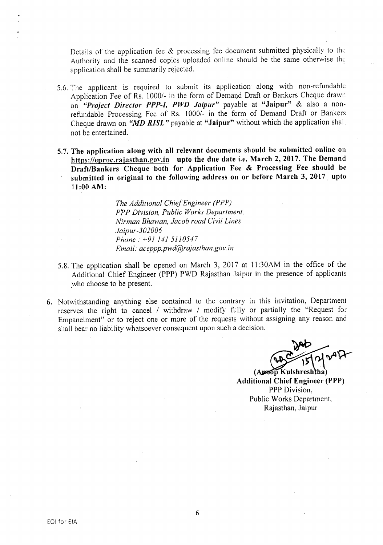Details of the application fee & processing fee document submitted physically to the Authority and the scanned copies uploaded online should be the same otherwise the application shall be summarily rejected.

- 5.6. The applicant is required to submit its application along with non-refundable Application Fee of Rs. 1000/- in the form of Demand Draft or Bankers Cheque drawn on *"Project Director PPP-I, PWD Jaipur"* payable at "Jaipur" & also a nonrefundable Processing Fee of Rs. *10001-* in the form of Demand Draft or Bankers Cheque drawn on *"MD RISL"* payable at "Jaipur" without which the application shall not be entertained.
- 5.7. The application along with all relevant documents should be submitted online on https://eproc.rajasthan.gov.in upto the due date i.e. March 2, 2017. The Demand Draft/Bankers Cheque both for Application Fee & Processing Fee should be submitted in original to the following address on or before March 3, 2017. upto 11:00 AM:

*The Additional Chief Engineer (PPP) PPP Division, Public Works Department, Nirman Bhawan, Jacob road Civil Lines Jaipur-302006 Phone:* +91 141 *5110547 Email: aceppp.pwd@rajasthan.gov.in* 

- 5.8. The application shall be opened on March 3, 2017 at 11:30AM in the office of the Additional Chief Engineer (PPP) PWD Rajasthan Jaipur in the presence of applicants who choose to be present.
- 6. Notwithstanding anything else contained to the contrary in this invitation, Department reserves the right to cancel *1* withdraw *1* modify fully or partially the "Request for Empanelment" or to reject one or more of the requests without assigning any reason and shall bear no liability whatsoever consequent upon such a decision.

~  $\sqrt{\frac{2D}{\frac{15}{15}}}$   $\sqrt{4}}$ 

Additional Chief Engineer (PPP) PPP Division, Public Works Department, Rajasthan, Jaipur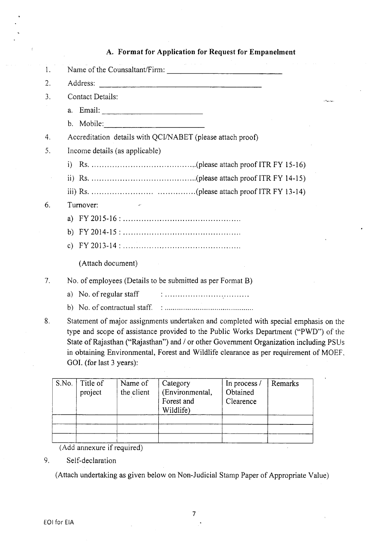| 1. |                                                                               |  |  |  |  |  |
|----|-------------------------------------------------------------------------------|--|--|--|--|--|
| 2. |                                                                               |  |  |  |  |  |
| 3. | Contact Details:                                                              |  |  |  |  |  |
|    |                                                                               |  |  |  |  |  |
|    |                                                                               |  |  |  |  |  |
| 4. | Accreditation details with QCI/NABET (please attach proof)                    |  |  |  |  |  |
| 5. | Income details (as applicable)                                                |  |  |  |  |  |
|    |                                                                               |  |  |  |  |  |
|    |                                                                               |  |  |  |  |  |
|    |                                                                               |  |  |  |  |  |
| 6. | Turnover:                                                                     |  |  |  |  |  |
|    |                                                                               |  |  |  |  |  |
|    |                                                                               |  |  |  |  |  |
|    |                                                                               |  |  |  |  |  |
|    | (Attach document)                                                             |  |  |  |  |  |
| 7. | No. of employees (Details to be submitted as per Format B)                    |  |  |  |  |  |
|    | a) No. of regular staff $\qquad \qquad \ldots$                                |  |  |  |  |  |
|    |                                                                               |  |  |  |  |  |
| Ω  | Statement of major assignments undertaken and completed with special emphasi- |  |  |  |  |  |

A. Format for Application for Request for Empanelment

المستحملة

## 8. Statement of major assignments undertaken and completed with special emphasis on the type and scope of assistance provided to the Public Works Department ("PWD") of the State of Rajasthan ("Rajasthan") and *I* or other Government Organization including PSUs in obtaining Environmental, Forest and Wildlife clearance as per requirement of MOEF. GOI. (for last 3 years):

| S.No. | Title of<br>project | Name of<br>the client | Category<br>(Environmental,<br>Forest and<br>Wildlife) | In process /<br>Obtained<br>Clearence | Remarks |
|-------|---------------------|-----------------------|--------------------------------------------------------|---------------------------------------|---------|
|       |                     |                       |                                                        |                                       |         |

(Add annexure if required)

## 9. Self-declaration

(Attach undertaking as given below on Non-Judicial Stamp Paper of Appropriate Value)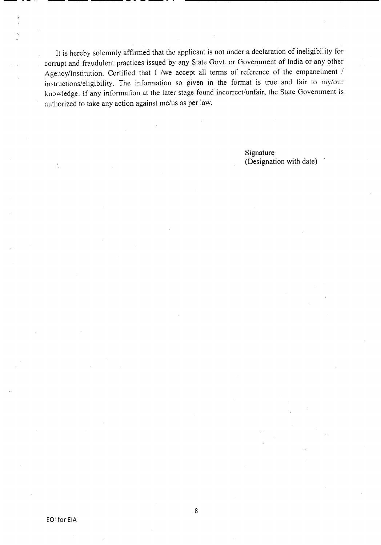It is hereby solemnly affirmed that the applicant is not under a declaration of ineligibility for corrupt and fraudulent practices issued by any State Govt. or Government of India or any other Agency/Institution. Certified that I /we accept all terms of reference of the empanelment / instructions/eligibility. The information so given in the format is true and fair to my/our knowledge. If any information at the later stage found incorrect/unfair, the State Goverrunent is authorized to take any action against me/us as per law.

---------- -----

Signature (Designation with date)